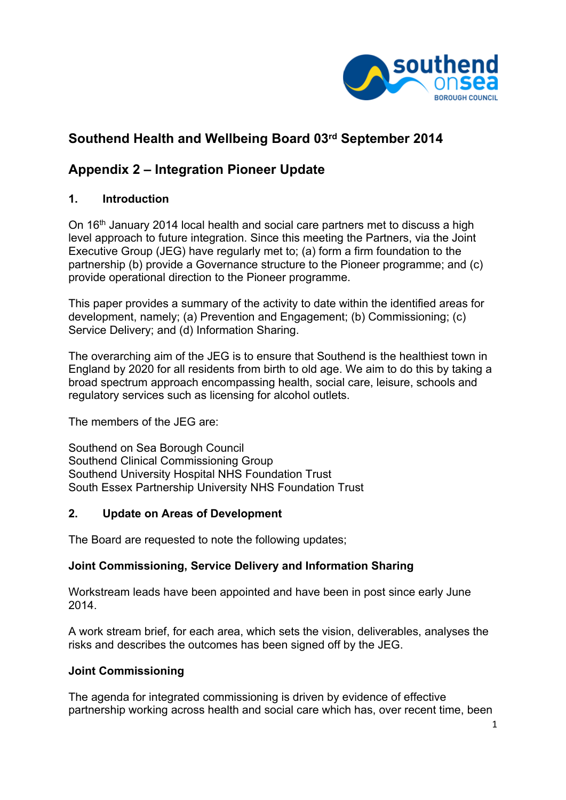

# **Southend Health and Wellbeing Board 03rd September 2014**

# **Appendix 2 – Integration Pioneer Update**

## **1. Introduction**

On 16th January 2014 local health and social care partners met to discuss a high level approach to future integration. Since this meeting the Partners, via the Joint Executive Group (JEG) have regularly met to; (a) form a firm foundation to the partnership (b) provide a Governance structure to the Pioneer programme; and (c) provide operational direction to the Pioneer programme.

This paper provides a summary of the activity to date within the identified areas for development, namely; (a) Prevention and Engagement; (b) Commissioning; (c) Service Delivery; and (d) Information Sharing.

The overarching aim of the JEG is to ensure that Southend is the healthiest town in England by 2020 for all residents from birth to old age. We aim to do this by taking a broad spectrum approach encompassing health, social care, leisure, schools and regulatory services such as licensing for alcohol outlets.

The members of the JEG are:

Southend on Sea Borough Council Southend Clinical Commissioning Group Southend University Hospital NHS Foundation Trust South Essex Partnership University NHS Foundation Trust

## **2. Update on Areas of Development**

The Board are requested to note the following updates;

## **Joint Commissioning, Service Delivery and Information Sharing**

Workstream leads have been appointed and have been in post since early June 2014.

A work stream brief, for each area, which sets the vision, deliverables, analyses the risks and describes the outcomes has been signed off by the JEG.

### **Joint Commissioning**

The agenda for integrated commissioning is driven by evidence of effective partnership working across health and social care which has, over recent time, been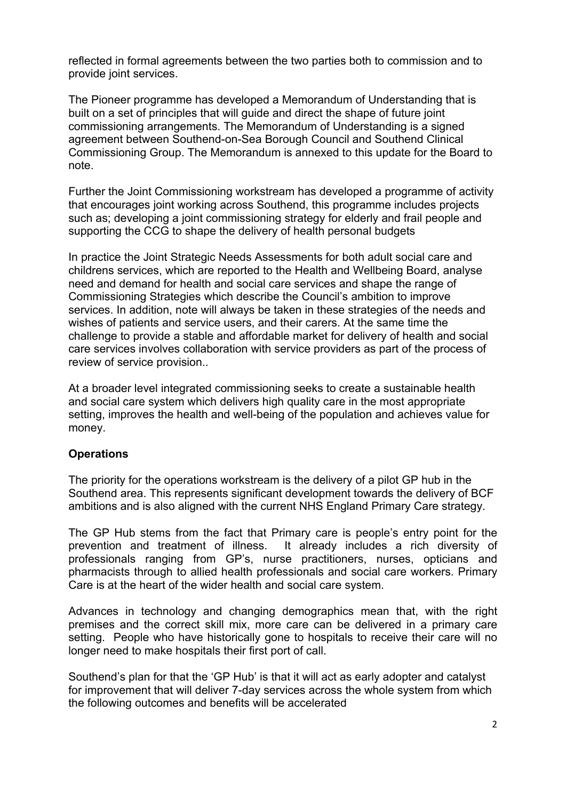reflected in formal agreements between the two parties both to commission and to provide joint services.

The Pioneer programme has developed a Memorandum of Understanding that is built on a set of principles that will guide and direct the shape of future joint commissioning arrangements. The Memorandum of Understanding is a signed agreement between Southend-on-Sea Borough Council and Southend Clinical Commissioning Group. The Memorandum is annexed to this update for the Board to note.

Further the Joint Commissioning workstream has developed a programme of activity that encourages joint working across Southend, this programme includes projects such as; developing a joint commissioning strategy for elderly and frail people and supporting the CCG to shape the delivery of health personal budgets

In practice the Joint Strategic Needs Assessments for both adult social care and childrens services, which are reported to the Health and Wellbeing Board, analyse need and demand for health and social care services and shape the range of Commissioning Strategies which describe the Council's ambition to improve services. In addition, note will always be taken in these strategies of the needs and wishes of patients and service users, and their carers. At the same time the challenge to provide a stable and affordable market for delivery of health and social care services involves collaboration with service providers as part of the process of review of service provision..

At a broader level integrated commissioning seeks to create a sustainable health and social care system which delivers high quality care in the most appropriate setting, improves the health and well-being of the population and achieves value for money.

## **Operations**

The priority for the operations workstream is the delivery of a pilot GP hub in the Southend area. This represents significant development towards the delivery of BCF ambitions and is also aligned with the current NHS England Primary Care strategy.

The GP Hub stems from the fact that Primary care is people's entry point for the prevention and treatment of illness. It already includes a rich diversity of professionals ranging from GP's, nurse practitioners, nurses, opticians and pharmacists through to allied health professionals and social care workers. Primary Care is at the heart of the wider health and social care system.

Advances in technology and changing demographics mean that, with the right premises and the correct skill mix, more care can be delivered in a primary care setting. People who have historically gone to hospitals to receive their care will no longer need to make hospitals their first port of call.

Southend's plan for that the 'GP Hub' is that it will act as early adopter and catalyst for improvement that will deliver 7-day services across the whole system from which the following outcomes and benefits will be accelerated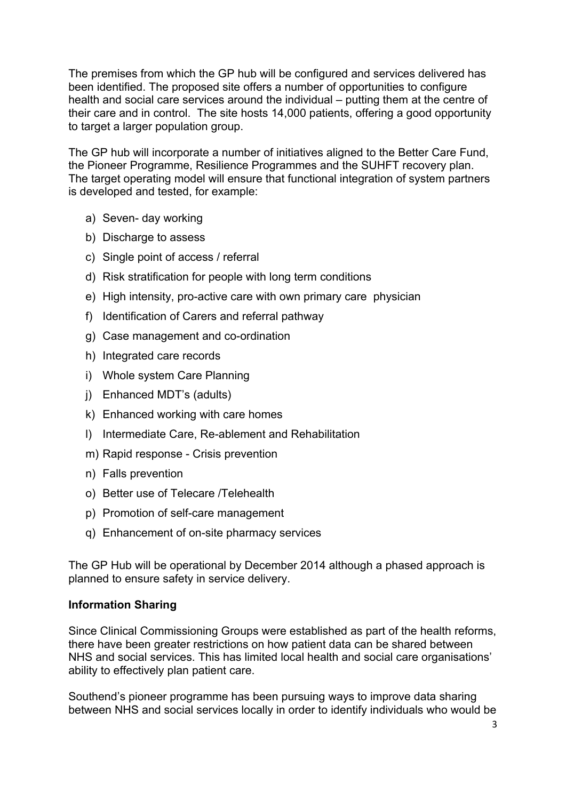The premises from which the GP hub will be configured and services delivered has been identified. The proposed site offers a number of opportunities to configure health and social care services around the individual – putting them at the centre of their care and in control. The site hosts 14,000 patients, offering a good opportunity to target a larger population group.

The GP hub will incorporate a number of initiatives aligned to the Better Care Fund, the Pioneer Programme, Resilience Programmes and the SUHFT recovery plan. The target operating model will ensure that functional integration of system partners is developed and tested, for example:

- a) Seven- day working
- b) Discharge to assess
- c) Single point of access / referral
- d) Risk stratification for people with long term conditions
- e) High intensity, pro-active care with own primary care physician
- f) Identification of Carers and referral pathway
- g) Case management and co-ordination
- h) Integrated care records
- i) Whole system Care Planning
- j) Enhanced MDT's (adults)
- k) Enhanced working with care homes
- l) Intermediate Care, Re-ablement and Rehabilitation
- m) Rapid response Crisis prevention
- n) Falls prevention
- o) Better use of Telecare /Telehealth
- p) Promotion of self-care management
- q) Enhancement of on-site pharmacy services

The GP Hub will be operational by December 2014 although a phased approach is planned to ensure safety in service delivery.

### **Information Sharing**

Since Clinical Commissioning Groups were established as part of the health reforms, there have been greater restrictions on how patient data can be shared between NHS and social services. This has limited local health and social care organisations' ability to effectively plan patient care.

Southend's pioneer programme has been pursuing ways to improve data sharing between NHS and social services locally in order to identify individuals who would be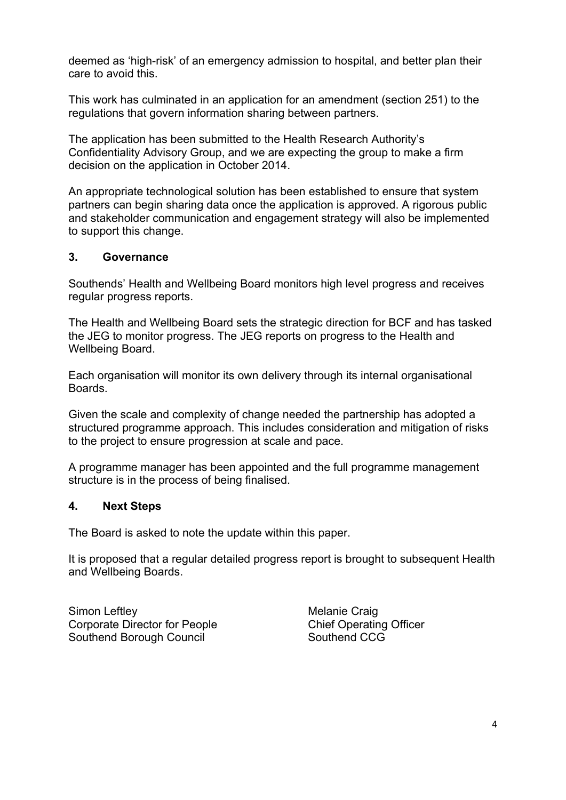deemed as 'high-risk' of an emergency admission to hospital, and better plan their care to avoid this.

This work has culminated in an application for an amendment (section 251) to the regulations that govern information sharing between partners.

The application has been submitted to the Health Research Authority's Confidentiality Advisory Group, and we are expecting the group to make a firm decision on the application in October 2014.

An appropriate technological solution has been established to ensure that system partners can begin sharing data once the application is approved. A rigorous public and stakeholder communication and engagement strategy will also be implemented to support this change.

### **3. Governance**

Southends' Health and Wellbeing Board monitors high level progress and receives regular progress reports.

The Health and Wellbeing Board sets the strategic direction for BCF and has tasked the JEG to monitor progress. The JEG reports on progress to the Health and Wellbeing Board.

Each organisation will monitor its own delivery through its internal organisational Boards.

Given the scale and complexity of change needed the partnership has adopted a structured programme approach. This includes consideration and mitigation of risks to the project to ensure progression at scale and pace.

A programme manager has been appointed and the full programme management structure is in the process of being finalised.

### **4. Next Steps**

The Board is asked to note the update within this paper.

It is proposed that a regular detailed progress report is brought to subsequent Health and Wellbeing Boards.

Simon Leftley **Melanie** Craig Corporate Director for People Chief Operating Officer Southend Borough Council Southend CCG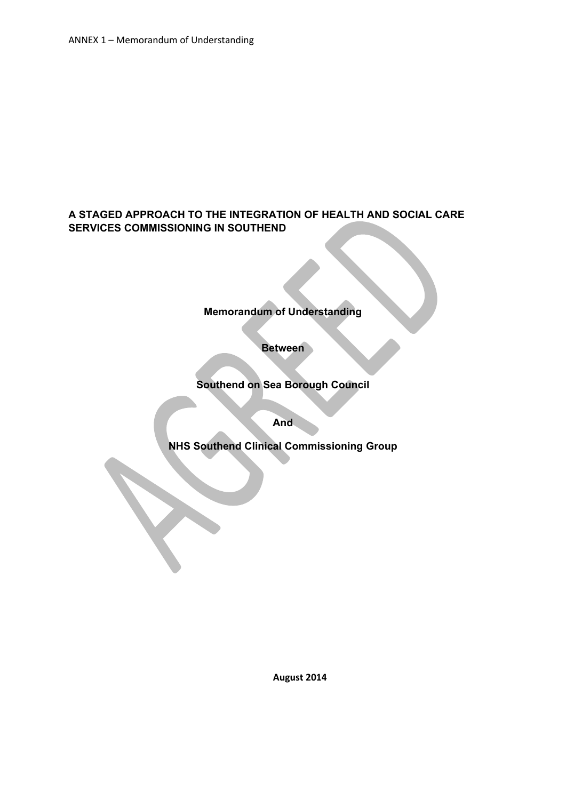## **A STAGED APPROACH TO THE INTEGRATION OF HEALTH AND SOCIAL CARE SERVICES COMMISSIONING IN SOUTHEND**

## **Memorandum of Understanding**

**Between**

**Southend on Sea Borough Council**

**And**

**NHS Southend Clinical Commissioning Group**

**August 2014**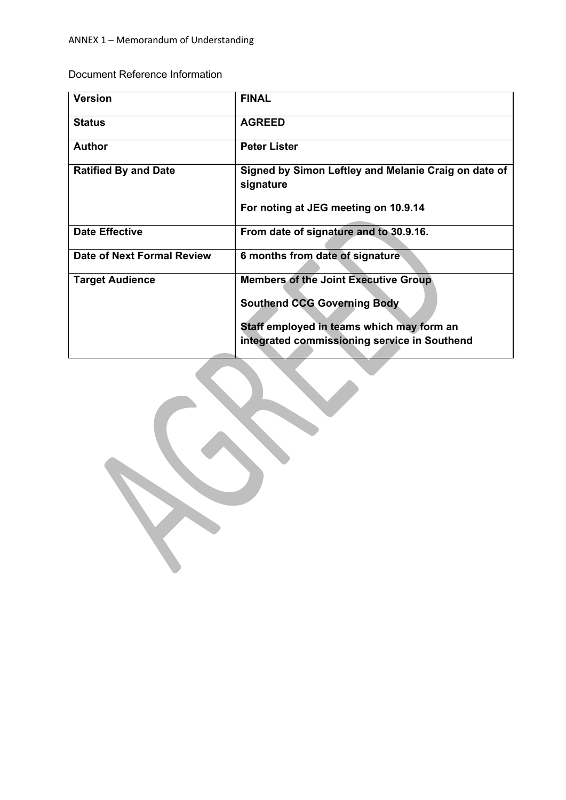Document Reference Information

| <b>Version</b>                    | <b>FINAL</b>                                                      |
|-----------------------------------|-------------------------------------------------------------------|
| <b>Status</b>                     | <b>AGREED</b>                                                     |
| <b>Author</b>                     | <b>Peter Lister</b>                                               |
| <b>Ratified By and Date</b>       | Signed by Simon Leftley and Melanie Craig on date of<br>signature |
|                                   | For noting at JEG meeting on 10.9.14                              |
| <b>Date Effective</b>             | From date of signature and to 30.9.16.                            |
| <b>Date of Next Formal Review</b> | 6 months from date of signature                                   |
| <b>Target Audience</b>            | <b>Members of the Joint Executive Group</b>                       |
|                                   | <b>Southend CCG Governing Body</b>                                |
|                                   | Staff employed in teams which may form an                         |
|                                   | integrated commissioning service in Southend                      |

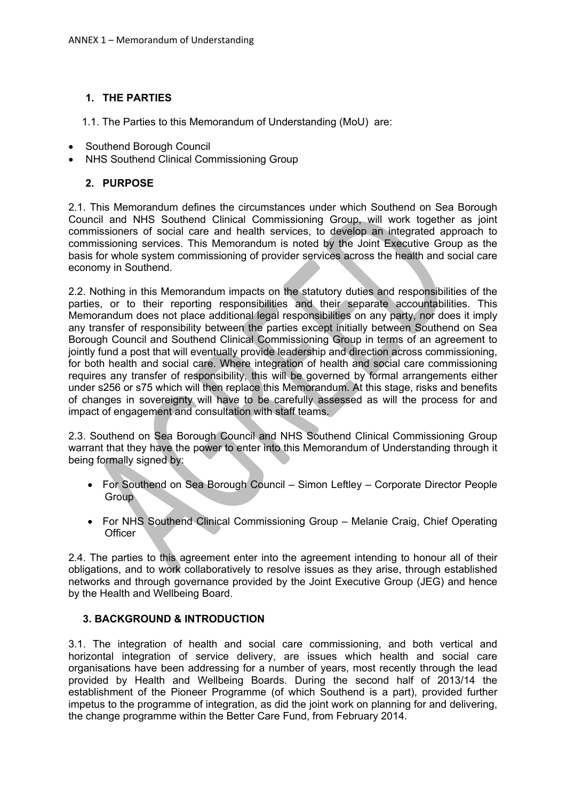### **1. THE PARTIES**

1.1. The Parties to this Memorandum of Understanding (MoU) are:

- Southend Borough Council
- NHS Southend Clinical Commissioning Group

#### **2. PURPOSE**

2.1. This Memorandum defines the circumstances under which Southend on Sea Borough Council and NHS Southend Clinical Commissioning Group, will work together as joint commissioners of social care and health services, to develop an integrated approach to commissioning services. This Memorandum is noted by the Joint Executive Group as the basis for whole system commissioning of provider services across the health and social care economy in Southend.

2.2. Nothing in this Memorandum impacts on the statutory duties and responsibilities of the parties, or to their reporting responsibilities and their separate accountabilities. This Memorandum does not place additional legal responsibilities on any party, nor does it imply any transfer of responsibility between the parties except initially between Southend on Sea Borough Council and Southend Clinical Commissioning Group in terms of an agreement to jointly fund a post that will eventually provide leadership and direction across commissioning, for both health and social care. Where integration of health and social care commissioning requires any transfer of responsibility, this will be governed by formal arrangements either under s256 or s75 which will then replace this Memorandum. At this stage, risks and benefits of changes in sovereignty will have to be carefully assessed as will the process for and impact of engagement and consultation with staff teams.

2.3. Southend on Sea Borough Council and NHS Southend Clinical Commissioning Group warrant that they have the power to enter into this Memorandum of Understanding through it being formally signed by:

- For Southend on Sea Borough Council Simon Leftley Corporate Director People **Group**
- For NHS Southend Clinical Commissioning Group Melanie Craig, Chief Operating **Officer**

2.4. The parties to this agreement enter into the agreement intending to honour all of their obligations, and to work collaboratively to resolve issues as they arise, through established networks and through governance provided by the Joint Executive Group (JEG) and hence by the Health and Wellbeing Board.

### **3. BACKGROUND & INTRODUCTION**

3.1. The integration of health and social care commissioning, and both vertical and horizontal integration of service delivery, are issues which health and social care organisations have been addressing for a number of years, most recently through the lead provided by Health and Wellbeing Boards. During the second half of 2013/14 the establishment of the Pioneer Programme (of which Southend is a part), provided further impetus to the programme of integration, as did the joint work on planning for and delivering, the change programme within the Better Care Fund, from February 2014.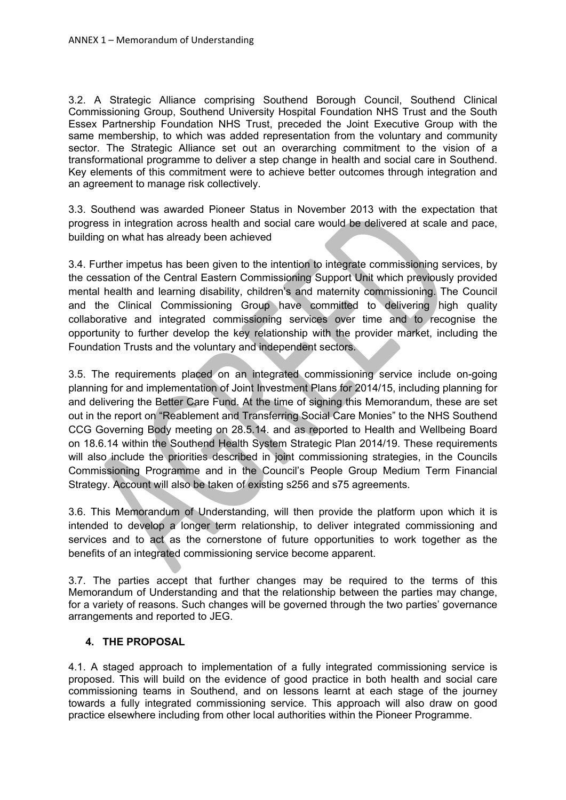3.2. A Strategic Alliance comprising Southend Borough Council, Southend Clinical Commissioning Group, Southend University Hospital Foundation NHS Trust and the South Essex Partnership Foundation NHS Trust, preceded the Joint Executive Group with the same membership, to which was added representation from the voluntary and community sector. The Strategic Alliance set out an overarching commitment to the vision of a transformational programme to deliver a step change in health and social care in Southend. Key elements of this commitment were to achieve better outcomes through integration and an agreement to manage risk collectively.

3.3. Southend was awarded Pioneer Status in November 2013 with the expectation that progress in integration across health and social care would be delivered at scale and pace, building on what has already been achieved

3.4. Further impetus has been given to the intention to integrate commissioning services, by the cessation of the Central Eastern Commissioning Support Unit which previously provided mental health and learning disability, children's and maternity commissioning. The Council and the Clinical Commissioning Group have committed to delivering high quality collaborative and integrated commissioning services over time and to recognise the opportunity to further develop the key relationship with the provider market, including the Foundation Trusts and the voluntary and independent sectors.

3.5. The requirements placed on an integrated commissioning service include on-going planning for and implementation of Joint Investment Plans for 2014/15, including planning for and delivering the Better Care Fund. At the time of signing this Memorandum, these are set out in the report on "Reablement and Transferring Social Care Monies" to the NHS Southend CCG Governing Body meeting on 28.5.14. and as reported to Health and Wellbeing Board on 18.6.14 within the Southend Health System Strategic Plan 2014/19. These requirements will also include the priorities described in joint commissioning strategies, in the Councils Commissioning Programme and in the Council's People Group Medium Term Financial Strategy. Account will also be taken of existing s256 and s75 agreements.

3.6. This Memorandum of Understanding, will then provide the platform upon which it is intended to develop a longer term relationship, to deliver integrated commissioning and services and to act as the cornerstone of future opportunities to work together as the benefits of an integrated commissioning service become apparent.

3.7. The parties accept that further changes may be required to the terms of this Memorandum of Understanding and that the relationship between the parties may change, for a variety of reasons. Such changes will be governed through the two parties' governance arrangements and reported to JEG.

#### **4. THE PROPOSAL**

4.1. A staged approach to implementation of a fully integrated commissioning service is proposed. This will build on the evidence of good practice in both health and social care commissioning teams in Southend, and on lessons learnt at each stage of the journey towards a fully integrated commissioning service. This approach will also draw on good practice elsewhere including from other local authorities within the Pioneer Programme.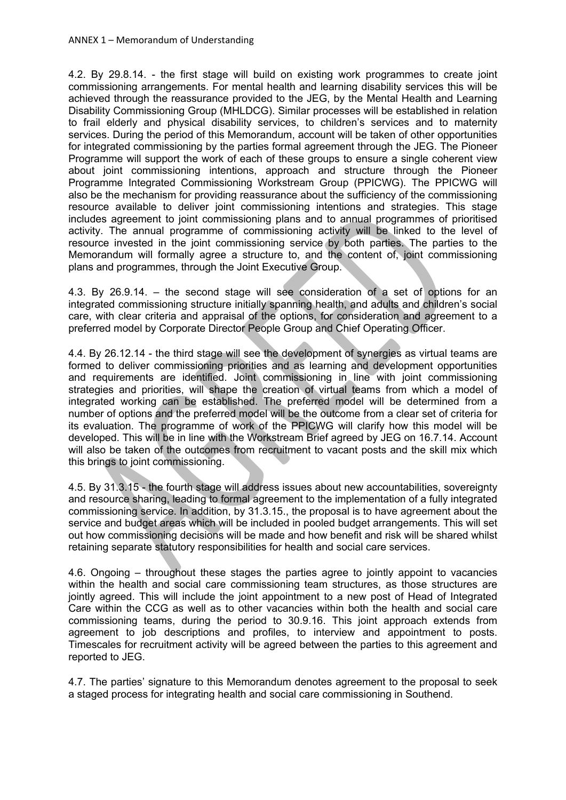4.2. By 29.8.14. - the first stage will build on existing work programmes to create joint commissioning arrangements. For mental health and learning disability services this will be achieved through the reassurance provided to the JEG, by the Mental Health and Learning Disability Commissioning Group (MHLDCG). Similar processes will be established in relation to frail elderly and physical disability services, to children's services and to maternity services. During the period of this Memorandum, account will be taken of other opportunities for integrated commissioning by the parties formal agreement through the JEG. The Pioneer Programme will support the work of each of these groups to ensure a single coherent view about joint commissioning intentions, approach and structure through the Pioneer Programme Integrated Commissioning Workstream Group (PPICWG). The PPICWG will also be the mechanism for providing reassurance about the sufficiency of the commissioning resource available to deliver joint commissioning intentions and strategies. This stage includes agreement to joint commissioning plans and to annual programmes of prioritised activity. The annual programme of commissioning activity will be linked to the level of resource invested in the joint commissioning service by both parties. The parties to the Memorandum will formally agree a structure to, and the content of, joint commissioning plans and programmes, through the Joint Executive Group.

4.3. By 26.9.14. – the second stage will see consideration of a set of options for an integrated commissioning structure initially spanning health, and adults and children's social care, with clear criteria and appraisal of the options, for consideration and agreement to a preferred model by Corporate Director People Group and Chief Operating Officer.

4.4. By 26.12.14 - the third stage will see the development of synergies as virtual teams are formed to deliver commissioning priorities and as learning and development opportunities and requirements are identified. Joint commissioning in line with joint commissioning strategies and priorities, will shape the creation of virtual teams from which a model of integrated working can be established. The preferred model will be determined from a number of options and the preferred model will be the outcome from a clear set of criteria for its evaluation. The programme of work of the PPICWG will clarify how this model will be developed. This will be in line with the Workstream Brief agreed by JEG on 16.7.14. Account will also be taken of the outcomes from recruitment to vacant posts and the skill mix which this brings to joint commissioning.

4.5. By 31.3.15 - the fourth stage will address issues about new accountabilities, sovereignty and resource sharing, leading to formal agreement to the implementation of a fully integrated commissioning service. In addition, by 31.3.15., the proposal is to have agreement about the service and budget areas which will be included in pooled budget arrangements. This will set out how commissioning decisions will be made and how benefit and risk will be shared whilst retaining separate statutory responsibilities for health and social care services.

4.6. Ongoing – throughout these stages the parties agree to jointly appoint to vacancies within the health and social care commissioning team structures, as those structures are jointly agreed. This will include the joint appointment to a new post of Head of Integrated Care within the CCG as well as to other vacancies within both the health and social care commissioning teams, during the period to 30.9.16. This joint approach extends from agreement to job descriptions and profiles, to interview and appointment to posts. Timescales for recruitment activity will be agreed between the parties to this agreement and reported to JEG.

4.7. The parties' signature to this Memorandum denotes agreement to the proposal to seek a staged process for integrating health and social care commissioning in Southend.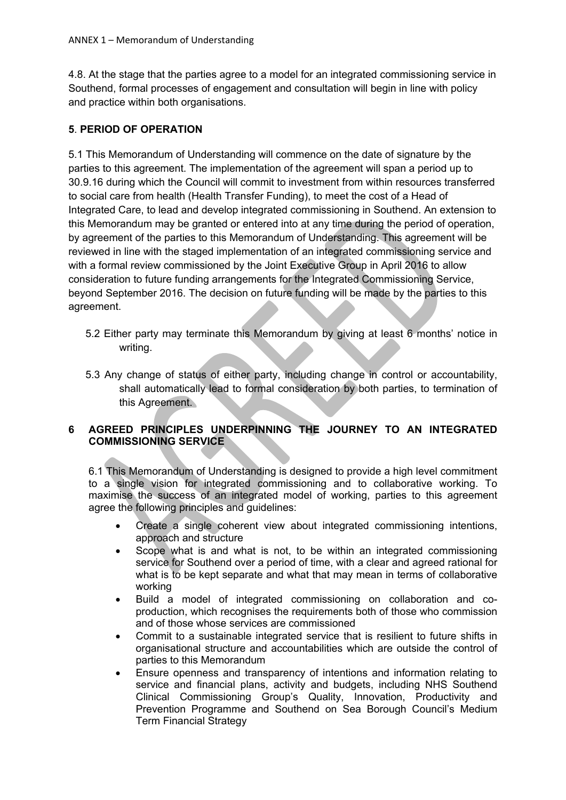4.8. At the stage that the parties agree to a model for an integrated commissioning service in Southend, formal processes of engagement and consultation will begin in line with policy and practice within both organisations.

## **5**. **PERIOD OF OPERATION**

5.1 This Memorandum of Understanding will commence on the date of signature by the parties to this agreement. The implementation of the agreement will span a period up to 30.9.16 during which the Council will commit to investment from within resources transferred to social care from health (Health Transfer Funding), to meet the cost of a Head of Integrated Care, to lead and develop integrated commissioning in Southend. An extension to this Memorandum may be granted or entered into at any time during the period of operation, by agreement of the parties to this Memorandum of Understanding. This agreement will be reviewed in line with the staged implementation of an integrated commissioning service and with a formal review commissioned by the Joint Executive Group in April 2016 to allow consideration to future funding arrangements for the Integrated Commissioning Service, beyond September 2016. The decision on future funding will be made by the parties to this agreement.

- 5.2 Either party may terminate this Memorandum by giving at least 6 months' notice in writing.
- 5.3 Any change of status of either party, including change in control or accountability, shall automatically lead to formal consideration by both parties, to termination of this Agreement.

## **6 AGREED PRINCIPLES UNDERPINNING THE JOURNEY TO AN INTEGRATED COMMISSIONING SERVICE**

6.1 This Memorandum of Understanding is designed to provide a high level commitment to a single vision for integrated commissioning and to collaborative working. To maximise the success of an integrated model of working, parties to this agreement agree the following principles and guidelines:

- Create a single coherent view about integrated commissioning intentions, approach and structure
- Scope what is and what is not, to be within an integrated commissioning service for Southend over a period of time, with a clear and agreed rational for what is to be kept separate and what that may mean in terms of collaborative working
- Build a model of integrated commissioning on collaboration and coproduction, which recognises the requirements both of those who commission and of those whose services are commissioned
- Commit to a sustainable integrated service that is resilient to future shifts in organisational structure and accountabilities which are outside the control of parties to this Memorandum
- Ensure openness and transparency of intentions and information relating to service and financial plans, activity and budgets, including NHS Southend Clinical Commissioning Group's Quality, Innovation, Productivity and Prevention Programme and Southend on Sea Borough Council's Medium Term Financial Strategy